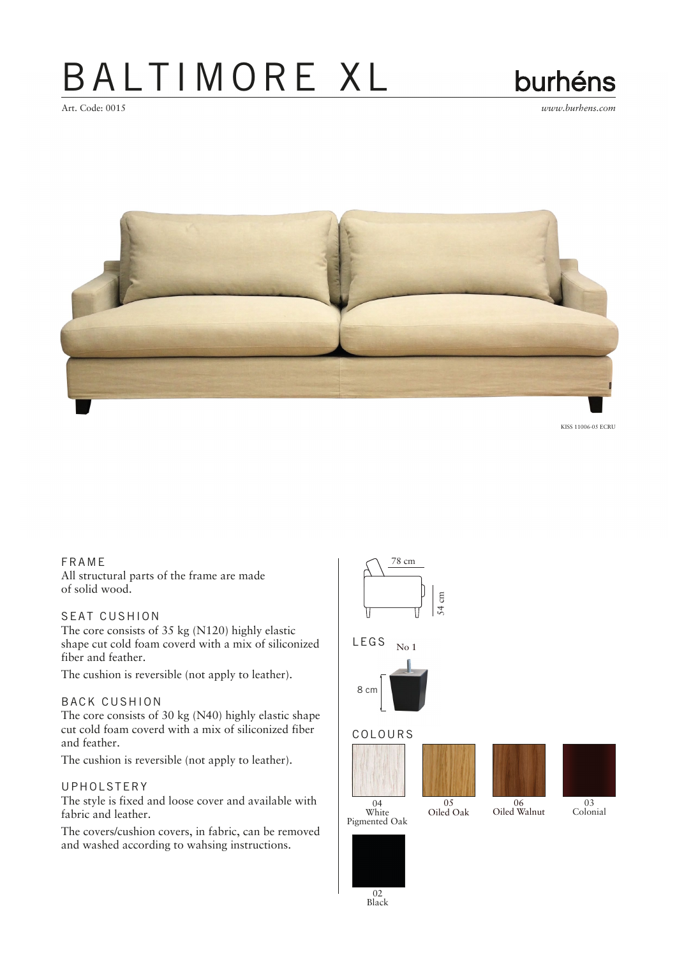## BALTIMORE XL



Art. Code: 0015 *www.burhens.com*



KISS 11006-05 ECRU

#### FRA ME

All structural parts of the frame are made of solid wood.

### SEAT CUSHION

The core consists of 35 kg (N120) highly elastic shape cut cold foam coverd with a mix of siliconized fiber and feather.

The cushion is reversible (not apply to leather).

#### BACK CUSHION

The core consists of 30 kg (N40) highly elastic shape cut cold foam coverd with a mix of siliconized fiber and feather.

The cushion is reversible (not apply to leather).

#### UPHOLSTERY

The style is fixed and loose cover and available with fabric and leather.

The covers/cushion covers, in fabric, can be removed and washed according to wahsing instructions.